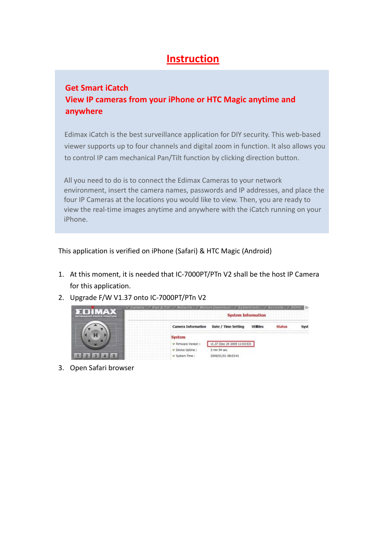## **Instruction**

## **Get Smart iCatch View IP cameras from your iPhone or HTC Magic anytime and anywhere**

Edimax iCatch is the best surveillance application for DIY security. This web‐based viewer supports up to four channels and digital zoom in function. It also allows you to control IP cam mechanical Pan/Tilt function by clicking direction button.

All you need to do is to connect the Edimax Cameras to your network environment, insert the camera names, passwords and IP addresses, and place the four IP Cameras at the locations you would like to view. Then, you are ready to view the real‐time images anytime and anywhere with the iCatch running on your iPhone.

This application is verified on iPhone (Safari) & HTC Magic (Android)

- 1. At this moment, it is needed that IC‐7000PT/PTn V2 shall be the host IP Camera for this application.
- 2. Upgrade F/W V1.37 onto IC‐7000PT/PTn V2



3. Open Safari browser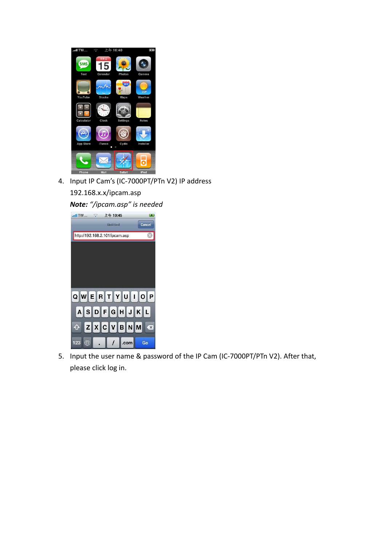

4. Input IP Cam's (IC‐7000PT/PTn V2) IP address

192.168.x.x/ipcam.asp

*Note: "/ipcam.asp" is needed* 



5. Input the user name & password of the IP Cam (IC‐7000PT/PTn V2). After that, please click log in.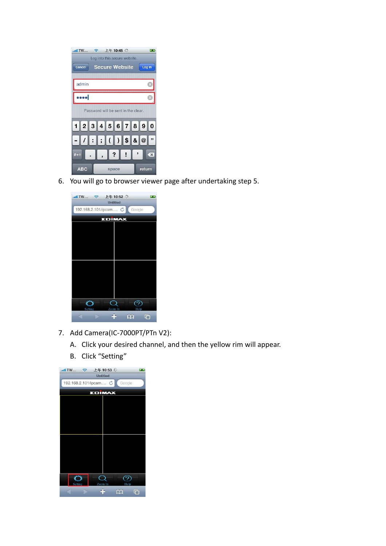

6. You will go to browser viewer page after undertaking step 5.



- 7. Add Camera(IC-7000PT/PTn V2):
	- A. Click your desired channel, and then the yellow rim will appear.
	- B. Click "Setting"

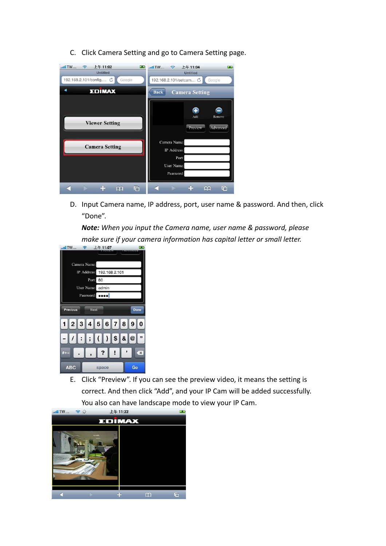C. Click Camera Setting and go to Camera Setting page.

| $m$ <sub>11</sub> TW $m$ <sub>111</sub>           | $m$ <sub>1</sub> TW $m$ <sub>1</sub>                                                                                |
|---------------------------------------------------|---------------------------------------------------------------------------------------------------------------------|
| 上午11:02                                           | $\widehat{\mathcal{P}}$                                                                                             |
| $\widehat{\mathbf{z}}$                            | 上午11:04                                                                                                             |
| <b>PERS</b>                                       | <b>Tags</b>                                                                                                         |
| <b>Untitled</b>                                   | <b>Untitled</b>                                                                                                     |
| 192.168.2.101/config C<br>Google<br><b>EDIMAX</b> | 192.168.2.101/setcam C<br>Google<br><b>Back</b><br><b>Camera Setting</b>                                            |
| <b>Viewer Setting</b><br><b>Camera Setting</b>    | Ŧ<br>Add<br>Remove<br>Advanced<br><b>Preview</b><br>Camera Name:<br>IP Address:<br>Port:<br>User Name:<br>Password: |
| മ                                                 | ╔                                                                                                                   |
| г                                                 | M                                                                                                                   |

D. Input Camera name, IP address, port, user name & password. And then, click "Done".

*Note: When you input the Camera name, user name & password, please make sure if your camera information has capital letter or small letter.*



E. Click "Preview". If you can see the preview video, it means the setting is correct. And then click "Add", and your IP Cam will be added successfully. You also can have landscape mode to view your IP Cam.

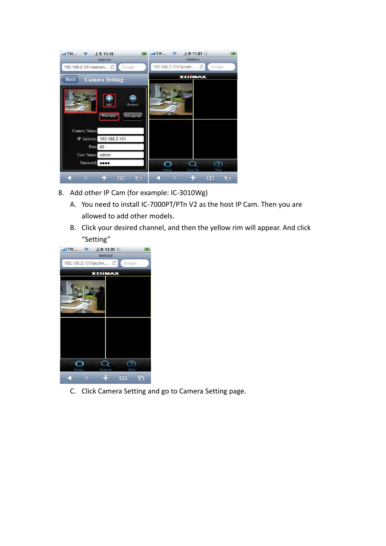| III TW                 | <b>11:15</b><br>$-1$                               |         | II TW   今 上午 11:21 ※  |                 | $\sim$ |
|------------------------|----------------------------------------------------|---------|-----------------------|-----------------|--------|
|                        | <b>Untitled</b>                                    |         |                       | <b>Untitled</b> |        |
| 192.168.2.101/setcam C | Google                                             |         | 192.168.2.101/ipcam C |                 | Google |
| <b>Back</b>            | <b>Camera Setting</b>                              |         |                       | <b>EDIMAX</b>   |        |
|                        | Add<br>Remove<br><b>Advanced</b><br><b>Preview</b> |         |                       |                 |        |
| Camera Name:           |                                                    |         |                       |                 |        |
| IP Address:            | 192.168.2.101                                      |         |                       |                 |        |
| Port:                  | 80                                                 |         |                       |                 |        |
| User Name:             | admin                                              |         |                       |                 |        |
| Password:              | $\bullet\bullet\bullet\bullet$                     | Setting |                       | Zoom In         | Help   |
|                        | G<br>m                                             |         |                       | ಯ               | G      |

- 8. Add other IP Cam (for example: IC-3010Wg)
	- A. You need to install IC‐7000PT/PTn V2 as the host IP Cam. Then you are allowed to add other models.
	- B. Click your desired channel, and then the yellow rim will appear. And click "Setting"



C. Click Camera Setting and go to Camera Setting page.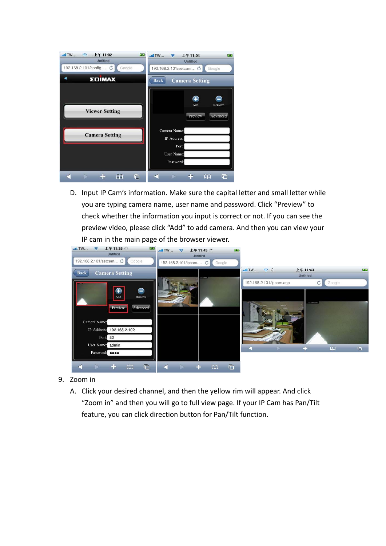| $$ III TW $$<br>上午11:02<br>$\epsilon$<br><b>Untitled</b> | $m$ TW $m$<br>$\widehat{\mathcal{P}}$<br>上午11:04<br><b>B</b><br><b>Untitled</b> |
|----------------------------------------------------------|---------------------------------------------------------------------------------|
| 192.168.2.101/config C<br>Google<br><b>EDIMAX</b>        | 192.168.2.101/setcam C<br>Google<br><b>Camera Setting</b><br><b>Back</b>        |
| <b>Viewer Setting</b>                                    | Œ<br>Add<br>Remove<br>Advanced<br>Preview                                       |
| <b>Camera Setting</b>                                    | Camera Name:<br>IP Address:<br>Port:<br>User Name:                              |
| $\Box$<br>മ                                              | Password:<br>G<br>ᡗ                                                             |

D. Input IP Cam's information. Make sure the capital letter and small letter while you are typing camera name, user name and password. Click "Preview" to check whether the information you input is correct or not. If you can see the preview video, please click "Add" to add camera. And then you can view your IP cam in the main page of the browser viewer.



- 9. Zoom in
	- A. Click your desired channel, and then the yellow rim will appear. And click "Zoom in" and then you will go to full view page. If your IP Cam has Pan/Tilt feature, you can click direction button for Pan/Tilt function.